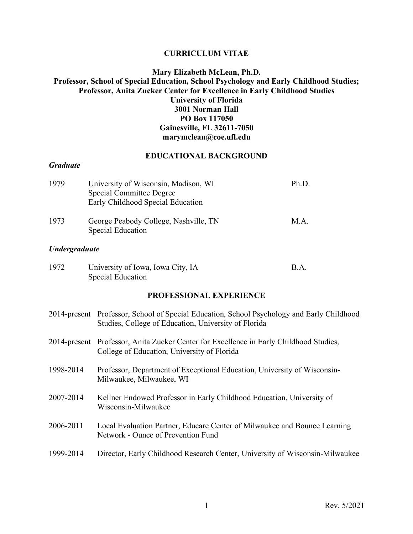#### **CURRICULUM VITAE**

# **Mary Elizabeth McLean, Ph.D. Professor, School of Special Education, School Psychology and Early Childhood Studies; Professor, Anita Zucker Center for Excellence in Early Childhood Studies University of Florida 3001 Norman Hall PO Box 117050 Gainesville, FL 32611-7050 marymclean@coe.ufl.edu**

#### **EDUCATIONAL BACKGROUND**

### *Graduate*

| 1979                        | University of Wisconsin, Madison, WI<br><b>Special Committee Degree</b><br>Early Childhood Special Education | Ph.D. |
|-----------------------------|--------------------------------------------------------------------------------------------------------------|-------|
| 1973                        | George Peabody College, Nashville, TN<br><b>Special Education</b>                                            | M.A.  |
| <i><b>Undergraduate</b></i> |                                                                                                              |       |

| 1972 | University of Iowa, Iowa City, IA | B.A. |
|------|-----------------------------------|------|
|      | Special Education                 |      |

#### **PROFESSIONAL EXPERIENCE**

|           | 2014-present Professor, School of Special Education, School Psychology and Early Childhood<br>Studies, College of Education, University of Florida |
|-----------|----------------------------------------------------------------------------------------------------------------------------------------------------|
|           | 2014-present Professor, Anita Zucker Center for Excellence in Early Childhood Studies,<br>College of Education, University of Florida              |
| 1998-2014 | Professor, Department of Exceptional Education, University of Wisconsin-<br>Milwaukee, Milwaukee, WI                                               |
| 2007-2014 | Kellner Endowed Professor in Early Childhood Education, University of<br>Wisconsin-Milwaukee                                                       |
| 2006-2011 | Local Evaluation Partner, Educare Center of Milwaukee and Bounce Learning<br>Network - Ounce of Prevention Fund                                    |
| 1999-2014 | Director, Early Childhood Research Center, University of Wisconsin-Milwaukee                                                                       |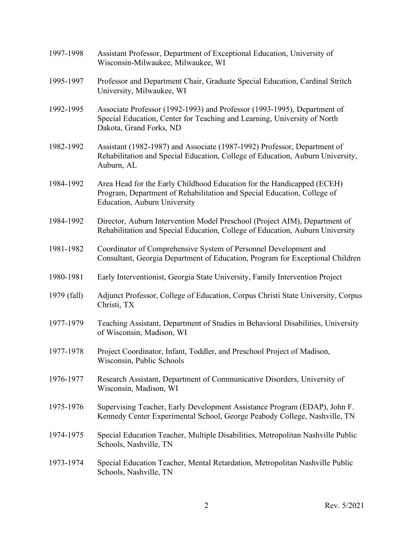| 1997-1998   | Assistant Professor, Department of Exceptional Education, University of<br>Wisconsin-Milwaukee, Milwaukee, WI                                                                            |
|-------------|------------------------------------------------------------------------------------------------------------------------------------------------------------------------------------------|
| 1995-1997   | Professor and Department Chair, Graduate Special Education, Cardinal Stritch<br>University, Milwaukee, WI                                                                                |
| 1992-1995   | Associate Professor (1992-1993) and Professor (1993-1995), Department of<br>Special Education, Center for Teaching and Learning, University of North<br>Dakota, Grand Forks, ND          |
| 1982-1992   | Assistant (1982-1987) and Associate (1987-1992) Professor, Department of<br>Rehabilitation and Special Education, College of Education, Auburn University,<br>Auburn, AL                 |
| 1984-1992   | Area Head for the Early Childhood Education for the Handicapped (ECEH)<br>Program, Department of Rehabilitation and Special Education, College of<br><b>Education, Auburn University</b> |
| 1984-1992   | Director, Auburn Intervention Model Preschool (Project AIM), Department of<br>Rehabilitation and Special Education, College of Education, Auburn University                              |
| 1981-1982   | Coordinator of Comprehensive System of Personnel Development and<br>Consultant, Georgia Department of Education, Program for Exceptional Children                                        |
| 1980-1981   | Early Interventionist, Georgia State University, Family Intervention Project                                                                                                             |
| 1979 (fall) | Adjunct Professor, College of Education, Corpus Christi State University, Corpus<br>Christi, TX                                                                                          |
| 1977-1979   | Teaching Assistant, Department of Studies in Behavioral Disabilities, University<br>of Wisconsin, Madison, WI                                                                            |
| 1977-1978   | Project Coordinator, Infant, Toddler, and Preschool Project of Madison,<br>Wisconsin, Public Schools                                                                                     |
| 1976-1977   | Research Assistant, Department of Communicative Disorders, University of<br>Wisconsin, Madison, WI                                                                                       |
| 1975-1976   | Supervising Teacher, Early Development Assistance Program (EDAP), John F.<br>Kennedy Center Experimental School, George Peabody College, Nashville, TN                                   |
| 1974-1975   | Special Education Teacher, Multiple Disabilities, Metropolitan Nashville Public<br>Schools, Nashville, TN                                                                                |
| 1973-1974   | Special Education Teacher, Mental Retardation, Metropolitan Nashville Public<br>Schools, Nashville, TN                                                                                   |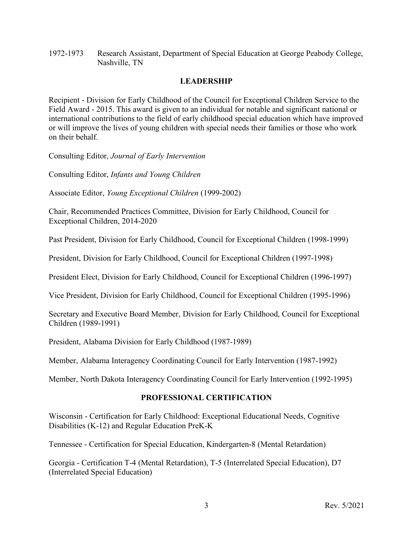1972-1973 Research Assistant, Department of Special Education at George Peabody College, Nashville, TN

# **LEADERSHIP**

Recipient - Division for Early Childhood of the Council for Exceptional Children Service to the Field Award - 2015. This award is given to an individual for notable and significant national or international contributions to the field of early childhood special education which have improved or will improve the lives of young children with special needs their families or those who work on their behalf.

Consulting Editor, *Journal of Early Intervention*

Consulting Editor, *Infants and Young Children*

Associate Editor, *Young Exceptional Children* (1999-2002)

Chair, Recommended Practices Committee, Division for Early Childhood, Council for Exceptional Children, 2014-2020

Past President, Division for Early Childhood, Council for Exceptional Children (1998-1999)

President, Division for Early Childhood, Council for Exceptional Children (1997-1998)

President Elect, Division for Early Childhood, Council for Exceptional Children (1996-1997)

Vice President, Division for Early Childhood, Council for Exceptional Children (1995-1996)

Secretary and Executive Board Member, Division for Early Childhood, Council for Exceptional Children (1989-1991)

President, Alabama Division for Early Childhood (1987-1989)

Member, Alabama Interagency Coordinating Council for Early Intervention (1987-1992)

Member, North Dakota Interagency Coordinating Council for Early Intervention (1992-1995)

# **PROFESSIONAL CERTIFICATION**

Wisconsin - Certification for Early Childhood: Exceptional Educational Needs, Cognitive Disabilities (K-12) and Regular Education PreK-K

Tennessee - Certification for Special Education, Kindergarten-8 (Mental Retardation)

Georgia - Certification T-4 (Mental Retardation), T-5 (Interrelated Special Education), D7 (Interrelated Special Education)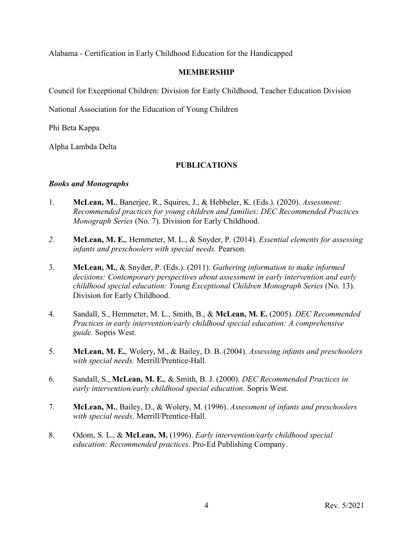Alabama - Certification in Early Childhood Education for the Handicapped

## **MEMBERSHIP**

Council for Exceptional Children: Division for Early Childhood, Teacher Education Division

National Association for the Education of Young Children

Phi Beta Kappa

Alpha Lambda Delta

## **PUBLICATIONS**

### *Books and Monographs*

- 1. **McLean, M.**, Banerjee, R., Squires, J., & Hebbeler, K. (Eds.). (2020). *Assessment: Recommended practices for young children and families: DEC Recommended Practices Monograph Series* (No. 7). Division for Early Childhood.
- *2.* **McLean, M. E.**, Hemmeter, M. L., & Snyder, P. (2014). *Essential elements for assessing infants and preschoolers with special needs.* Pearson.
- 3. **McLean, M.**, & Snyder, P. (Eds.). (2011). *Gathering information to make informed decisions: Contemporary perspectives about assessment in early intervention and early childhood special education: Young Exceptional Children Monograph Series* (No. 13). Division for Early Childhood.
- 4. Sandall, S., Hemmeter, M. L., Smith, B., & **McLean, M. E.** (2005). *DEC Recommended Practices in early intervention/early childhood special education: A comprehensive guide.* Sopris West.
- 5. **McLean, M. E.**, Wolery, M., & Bailey, D. B. (2004). *Assessing infants and preschoolers with special needs.* Merrill/Prentice-Hall.
- 6. Sandall, S., **McLean, M. E.**, & Smith, B. J. (2000). *DEC Recommended Practices in early intervention/early childhood special education.* Sopris West.
- 7. **McLean, M.**, Bailey, D., & Wolery, M. (1996). *Assessment of infants and preschoolers with special needs*. Merrill/Prentice-Hall.
- 8. Odom, S. L., & **McLean, M.** (1996). *Early intervention/early childhood special education: Recommended practices*. Pro-Ed Publishing Company.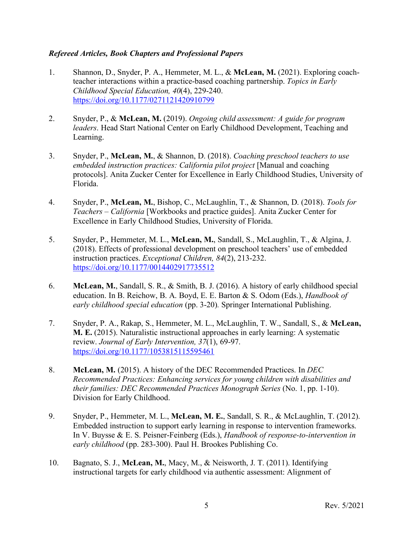# *Refereed Articles, Book Chapters and Professional Papers*

- 1. Shannon, D., Snyder, P. A., Hemmeter, M. L., & **McLean, M.** (2021). Exploring coachteacher interactions within a practice-based coaching partnership. *Topics in Early Childhood Special Education, 40*(4), 229-240. https://doi.org/10.1177/0271121420910799
- 2. Snyder, P., & **McLean, M.** (2019). *Ongoing child assessment: A guide for program leaders*. Head Start National Center on Early Childhood Development, Teaching and Learning.
- 3. Snyder, P., **McLean, M.**, & Shannon, D. (2018). *Coaching preschool teachers to use embedded instruction practices: California pilot project* [Manual and coaching protocols]. Anita Zucker Center for Excellence in Early Childhood Studies, University of Florida.
- 4. Snyder, P., **McLean, M.**, Bishop, C., McLaughlin, T., & Shannon, D. (2018). *Tools for Teachers – California* [Workbooks and practice guides]. Anita Zucker Center for Excellence in Early Childhood Studies, University of Florida.
- 5. Snyder, P., Hemmeter, M. L., **McLean, M.**, Sandall, S., McLaughlin, T., & Algina, J. (2018). Effects of professional development on preschool teachers' use of embedded instruction practices. *Exceptional Children, 84*(2), 213-232. https://doi.org/10.1177/0014402917735512
- 6. **McLean, M.**, Sandall, S. R., & Smith, B. J. (2016). A history of early childhood special education. In B. Reichow, B. A. Boyd, E. E. Barton & S. Odom (Eds.), *Handbook of early childhood special education* (pp. 3-20)*.* Springer International Publishing.
- 7. Snyder, P. A., Rakap, S., Hemmeter, M. L., McLaughlin, T. W., Sandall, S., & **McLean, M. E.** (2015). Naturalistic instructional approaches in early learning: A systematic review. *Journal of Early Intervention, 37*(1), 69-97. https://doi.org/10.1177/1053815115595461
- 8. **McLean, M.** (2015). A history of the DEC Recommended Practices. In *DEC Recommended Practices: Enhancing services for young children with disabilities and their families: DEC Recommended Practices Monograph Series* (No. 1, pp. 1-10). Division for Early Childhood.
- 9. Snyder, P., Hemmeter, M. L., **McLean, M. E.**, Sandall, S. R., & McLaughlin, T. (2012). Embedded instruction to support early learning in response to intervention frameworks. In V. Buysse & E. S. Peisner-Feinberg (Eds.), *Handbook of response-to-intervention in early childhood* (pp. 283-300). Paul H. Brookes Publishing Co.
- 10. Bagnato, S. J., **McLean, M.**, Macy, M., & Neisworth, J. T. (2011). Identifying instructional targets for early childhood via authentic assessment: Alignment of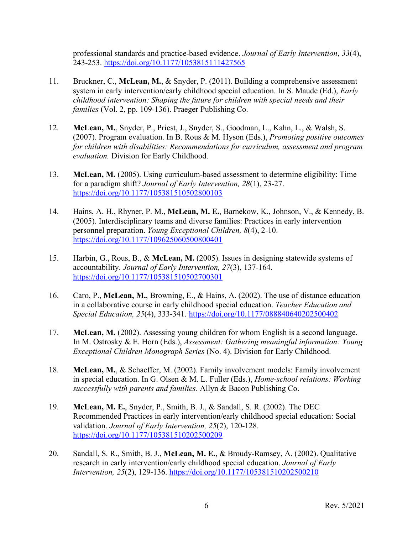professional standards and practice-based evidence. *Journal of Early Intervention*, *33*(4), 243-253. https://doi.org/10.1177/1053815111427565

- 11. Bruckner, C., **McLean, M.**, & Snyder, P. (2011). Building a comprehensive assessment system in early intervention/early childhood special education. In S. Maude (Ed.), *Early childhood intervention: Shaping the future for children with special needs and their families* (Vol. 2, pp. 109-136). Praeger Publishing Co.
- 12. **McLean, M.**, Snyder, P., Priest, J., Snyder, S., Goodman, L., Kahn, L., & Walsh, S. (2007). Program evaluation. In B. Rous & M. Hyson (Eds.), *Promoting positive outcomes for children with disabilities: Recommendations for curriculum, assessment and program evaluation.* Division for Early Childhood.
- 13. **McLean, M.** (2005). Using curriculum-based assessment to determine eligibility: Time for a paradigm shift? *Journal of Early Intervention, 28*(1), 23-27. https://doi.org/10.1177/105381510502800103
- 14. Hains, A. H., Rhyner, P. M., **McLean, M. E.**, Barnekow, K., Johnson, V., & Kennedy, B. (2005). Interdisciplinary teams and diverse families: Practices in early intervention personnel preparation. *Young Exceptional Children, 8*(4), 2-10. https://doi.org/10.1177/109625060500800401
- 15. Harbin, G., Rous, B., & **McLean, M.** (2005). Issues in designing statewide systems of accountability. *Journal of Early Intervention, 27*(3), 137-164. https://doi.org/10.1177/105381510502700301
- 16. Caro, P., **McLean, M.**, Browning, E., & Hains, A. (2002). The use of distance education in a collaborative course in early childhood special education. *Teacher Education and Special Education, 25*(4), 333-341. https://doi.org/10.1177/088840640202500402
- 17. **McLean, M.** (2002). Assessing young children for whom English is a second language. In M. Ostrosky & E. Horn (Eds.), *Assessment: Gathering meaningful information: Young Exceptional Children Monograph Series* (No. 4). Division for Early Childhood.
- 18. **McLean, M.**, & Schaeffer, M. (2002). Family involvement models: Family involvement in special education. In G. Olsen & M. L. Fuller (Eds.), *Home-school relations: Working successfully with parents and families.* Allyn & Bacon Publishing Co.
- 19. **McLean, M. E.**, Snyder, P., Smith, B. J., & Sandall, S. R. (2002). The DEC Recommended Practices in early intervention/early childhood special education: Social validation. *Journal of Early Intervention, 25*(2), 120-128. https://doi.org/10.1177/105381510202500209
- 20. Sandall, S. R., Smith, B. J., **McLean, M. E.**, & Broudy-Ramsey, A. (2002). Qualitative research in early intervention/early childhood special education. *Journal of Early Intervention, 25*(2), 129-136. https://doi.org/10.1177/105381510202500210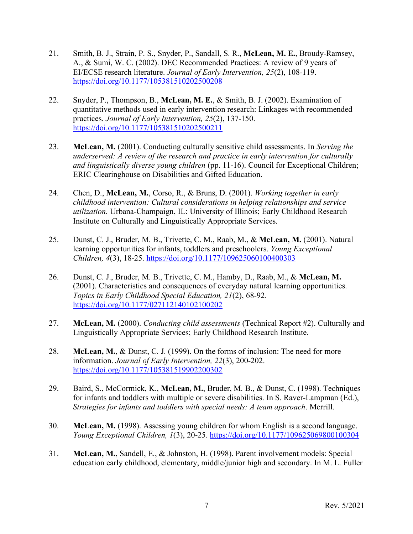- 21. Smith, B. J., Strain, P. S., Snyder, P., Sandall, S. R., **McLean, M. E.**, Broudy-Ramsey, A., & Sumi, W. C. (2002). DEC Recommended Practices: A review of 9 years of EI/ECSE research literature. *Journal of Early Intervention, 25*(2), 108-119. https://doi.org/10.1177/105381510202500208
- 22. Snyder, P., Thompson, B., **McLean, M. E.**, & Smith, B. J. (2002). Examination of quantitative methods used in early intervention research: Linkages with recommended practices. *Journal of Early Intervention, 25*(2), 137-150. https://doi.org/10.1177/105381510202500211
- 23. **McLean, M.** (2001). Conducting culturally sensitive child assessments. In *Serving the underserved: A review of the research and practice in early intervention for culturally and linguistically diverse young children* (pp. 11-16). Council for Exceptional Children; ERIC Clearinghouse on Disabilities and Gifted Education.
- 24. Chen, D., **McLean, M.**, Corso, R., & Bruns, D. (2001). *Working together in early childhood intervention: Cultural considerations in helping relationships and service utilization.* Urbana-Champaign, IL: University of Illinois; Early Childhood Research Institute on Culturally and Linguistically Appropriate Services.
- 25. Dunst, C. J., Bruder, M. B., Trivette, C. M., Raab, M., & **McLean, M.** (2001). Natural learning opportunities for infants, toddlers and preschoolers. *Young Exceptional Children, 4*(3), 18-25. https://doi.org/10.1177/109625060100400303
- 26. Dunst, C. J., Bruder, M. B., Trivette, C. M., Hamby, D., Raab, M., & **McLean, M.** (2001). Characteristics and consequences of everyday natural learning opportunities. *Topics in Early Childhood Special Education, 21*(2), 68-92. https://doi.org/10.1177/027112140102100202
- 27. **McLean, M.** (2000). *Conducting child assessments* (Technical Report #2). Culturally and Linguistically Appropriate Services; Early Childhood Research Institute.
- 28. **McLean, M.**, & Dunst, C. J. (1999). On the forms of inclusion: The need for more information. *Journal of Early Intervention, 22*(3), 200-202. https://doi.org/10.1177/105381519902200302
- 29. Baird, S., McCormick, K., **McLean, M.**, Bruder, M. B., & Dunst, C. (1998). Techniques for infants and toddlers with multiple or severe disabilities. In S. Raver-Lampman (Ed.), *Strategies for infants and toddlers with special needs: A team approach*. Merrill.
- 30. **McLean, M.** (1998). Assessing young children for whom English is a second language. *Young Exceptional Children, 1*(3), 20-25. https://doi.org/10.1177/109625069800100304
- 31. **McLean, M.**, Sandell, E., & Johnston, H. (1998). Parent involvement models: Special education early childhood, elementary, middle/junior high and secondary. In M. L. Fuller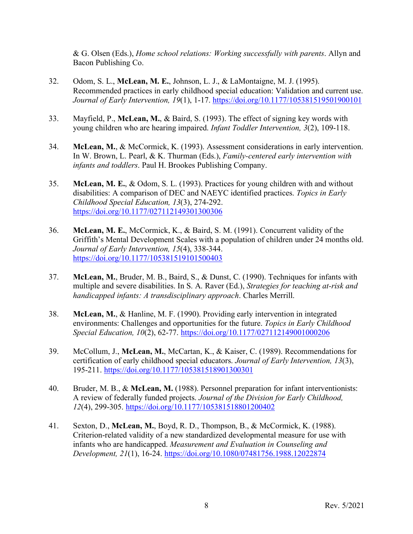& G. Olsen (Eds.), *Home school relations: Working successfully with parents*. Allyn and Bacon Publishing Co.

- 32. Odom, S. L., **McLean, M. E.**, Johnson, L. J., & LaMontaigne, M. J. (1995). Recommended practices in early childhood special education: Validation and current use. *Journal of Early Intervention, 19*(1), 1-17. https://doi.org/10.1177/105381519501900101
- 33. Mayfield, P., **McLean, M.**, & Baird, S. (1993). The effect of signing key words with young children who are hearing impaired. *Infant Toddler Intervention, 3*(2), 109-118.
- 34. **McLean, M.**, & McCormick, K. (1993). Assessment considerations in early intervention. In W. Brown, L. Pearl, & K. Thurman (Eds.), *Family-centered early intervention with infants and toddlers*. Paul H. Brookes Publishing Company.
- 35. **McLean, M. E.**, & Odom, S. L. (1993). Practices for young children with and without disabilities: A comparison of DEC and NAEYC identified practices. *Topics in Early Childhood Special Education, 13*(3), 274-292. https://doi.org/10.1177/027112149301300306
- 36. **McLean, M. E.**, McCormick, K., & Baird, S. M. (1991). Concurrent validity of the Griffith's Mental Development Scales with a population of children under 24 months old. *Journal of Early Intervention, 15*(4), 338-344. https://doi.org/10.1177/105381519101500403
- 37. **McLean, M.**, Bruder, M. B., Baird, S., & Dunst, C. (1990). Techniques for infants with multiple and severe disabilities. In S. A. Raver (Ed.), *Strategies for teaching at-risk and handicapped infants: A transdisciplinary approach*. Charles Merrill.
- 38. **McLean, M.**, & Hanline, M. F. (1990). Providing early intervention in integrated environments: Challenges and opportunities for the future. *Topics in Early Childhood Special Education, 10*(2), 62-77. https://doi.org/10.1177/027112149001000206
- 39. McCollum, J., **McLean, M.**, McCartan, K., & Kaiser, C. (1989). Recommendations for certification of early childhood special educators. *Journal of Early Intervention, 13*(3), 195-211. https://doi.org/10.1177/105381518901300301
- 40. Bruder, M. B., & **McLean, M.** (1988). Personnel preparation for infant interventionists: A review of federally funded projects. *Journal of the Division for Early Childhood, 12*(4), 299-305. https://doi.org/10.1177/105381518801200402
- 41. Sexton, D., **McLean, M.**, Boyd, R. D., Thompson, B., & McCormick, K. (1988). Criterion-related validity of a new standardized developmental measure for use with infants who are handicapped. *Measurement and Evaluation in Counseling and Development, 21*(1), 16-24. https://doi.org/10.1080/07481756.1988.12022874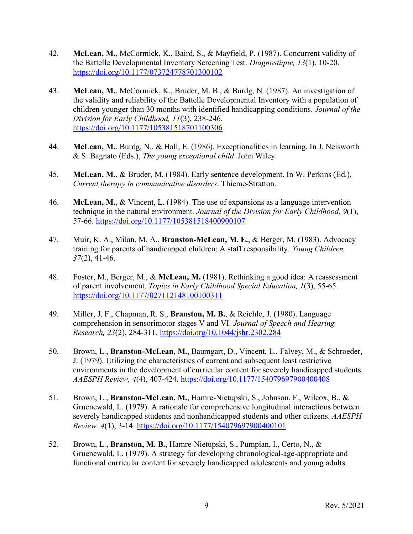- 42. **McLean, M.**, McCormick, K., Baird, S., & Mayfield, P. (1987). Concurrent validity of the Battelle Developmental Inventory Screening Test. *Diagnostique, 13*(1), 10-20. https://doi.org/10.1177/073724778701300102
- 43. **McLean, M.**, McCormick, K., Bruder, M. B., & Burdg, N. (1987). An investigation of the validity and reliability of the Battelle Developmental Inventory with a population of children younger than 30 months with identified handicapping conditions. *Journal of the Division for Early Childhood, 11*(3), 238-246. https://doi.org/10.1177/105381518701100306
- 44. **McLean, M.**, Burdg, N., & Hall, E. (1986). Exceptionalities in learning. In J. Neisworth & S. Bagnato (Eds.), *The young exceptional child*. John Wiley.
- 45. **McLean, M.**, & Bruder, M. (1984). Early sentence development. In W. Perkins (Ed.), *Current therapy in communicative disorders*. Thieme-Stratton.
- 46. **McLean, M.**, & Vincent, L. (1984). The use of expansions as a language intervention technique in the natural environment. *Journal of the Division for Early Childhood, 9*(1), 57-66. https://doi.org/10.1177/105381518400900107
- 47. Muir, K. A., Milan, M. A., **Branston-McLean, M. E.**, & Berger, M. (1983). Advocacy training for parents of handicapped children: A staff responsibility. *Young Children, 37*(2), 41-46.
- 48. Foster, M., Berger, M., & **McLean, M.** (1981). Rethinking a good idea: A reassessment of parent involvement. *Topics in Early Childhood Special Education, 1*(3), 55-65. https://doi.org/10.1177/027112148100100311
- 49. Miller, J. F., Chapman, R. S., **Branston, M. B.**, & Reichle, J. (1980). Language comprehension in sensorimotor stages V and VI. *Journal of Speech and Hearing Research, 23*(2), 284-311. https://doi.org/10.1044/jshr.2302.284
- 50. Brown, L., **Branston-McLean, M.**, Baumgart, D., Vincent, L., Falvey, M., & Schroeder, J. (1979). Utilizing the characteristics of current and subsequent least restrictive environments in the development of curricular content for severely handicapped students. *AAESPH Review, 4*(4), 407-424. https://doi.org/10.1177/154079697900400408
- 51. Brown, L., **Branston-McLean, M.**, Hamre-Nietupski, S., Johnson, F., Wilcox, B., & Gruenewald, L. (1979). A rationale for comprehensive longitudinal interactions between severely handicapped students and nonhandicapped students and other citizens. *AAESPH Review, 4*(1), 3-14. https://doi.org/10.1177/154079697900400101
- 52. Brown, L., **Branston, M. B.**, Hamre-Nietupski, S., Pumpian, I., Certo, N., & Gruenewald, L. (1979). A strategy for developing chronological-age-appropriate and functional curricular content for severely handicapped adolescents and young adults.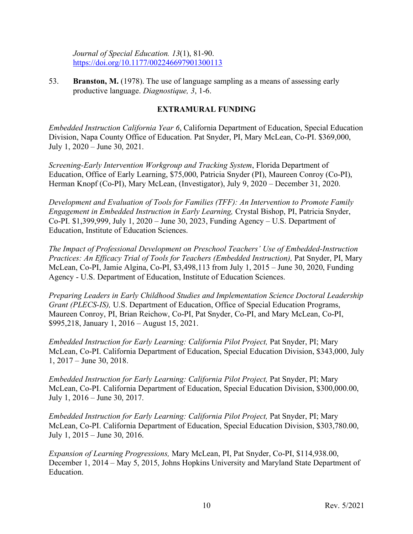*Journal of Special Education. 13*(1), 81-90. https://doi.org/10.1177/002246697901300113

53. **Branston, M.** (1978). The use of language sampling as a means of assessing early productive language. *Diagnostique, 3*, 1-6.

# **EXTRAMURAL FUNDING**

*Embedded Instruction California Year 6*, California Department of Education, Special Education Division, Napa County Office of Education. Pat Snyder, PI, Mary McLean, Co-PI. \$369,000, July 1, 2020 – June 30, 2021.

*Screening-Early Intervention Workgroup and Tracking System*, Florida Department of Education, Office of Early Learning, \$75,000, Patricia Snyder (PI), Maureen Conroy (Co-PI), Herman Knopf (Co-PI), Mary McLean, (Investigator), July 9, 2020 – December 31, 2020.

*Development and Evaluation of Tools for Families (TFF): An Intervention to Promote Family Engagement in Embedded Instruction in Early Learning,* Crystal Bishop, PI, Patricia Snyder, Co-PI. \$1,399,999, July 1, 2020 – June 30, 2023, Funding Agency – U.S. Department of Education, Institute of Education Sciences.

*The Impact of Professional Development on Preschool Teachers' Use of Embedded-Instruction Practices: An Efficacy Trial of Tools for Teachers (Embedded Instruction),* Pat Snyder, PI, Mary McLean, Co-PI, Jamie Algina, Co-PI, \$3,498,113 from July 1, 2015 – June 30, 2020, Funding Agency - U.S. Department of Education, Institute of Education Sciences.

*Preparing Leaders in Early Childhood Studies and Implementation Science Doctoral Leadership Grant (PLECS-IS),* U.S. Department of Education, Office of Special Education Programs, Maureen Conroy, PI, Brian Reichow, Co-PI, Pat Snyder, Co-PI, and Mary McLean, Co-PI, \$995,218, January 1, 2016 – August 15, 2021.

*Embedded Instruction for Early Learning: California Pilot Project,* Pat Snyder, PI; Mary McLean, Co-PI. California Department of Education, Special Education Division, \$343,000, July 1, 2017 – June 30, 2018.

*Embedded Instruction for Early Learning: California Pilot Project,* Pat Snyder, PI; Mary McLean, Co-PI. California Department of Education, Special Education Division, \$300,000.00, July 1, 2016 – June 30, 2017.

*Embedded Instruction for Early Learning: California Pilot Project, Pat Snyder, PI; Mary* McLean, Co-PI. California Department of Education, Special Education Division, \$303,780.00, July 1, 2015 – June 30, 2016.

*Expansion of Learning Progressions,* Mary McLean, PI, Pat Snyder, Co-PI, \$114,938.00, December 1, 2014 – May 5, 2015, Johns Hopkins University and Maryland State Department of Education.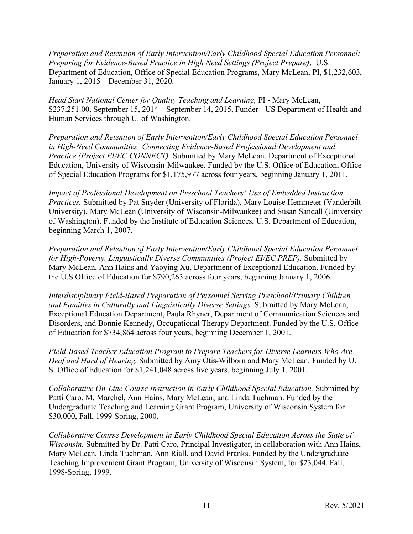*Preparation and Retention of Early Intervention/Early Childhood Special Education Personnel: Preparing for Evidence-Based Practice in High Need Settings (Project Prepare)*, U.S. Department of Education, Office of Special Education Programs, Mary McLean, PI, \$1,232,603, January 1, 2015 – December 31, 2020.

*Head Start National Center for Quality Teaching and Learning,* PI - Mary McLean, \$237,251.00, September 15, 2014 – September 14, 2015, Funder - US Department of Health and Human Services through U. of Washington.

*Preparation and Retention of Early Intervention/Early Childhood Special Education Personnel in High-Need Communities: Connecting Evidence-Based Professional Development and Practice (Project EI/EC CONNECT).* Submitted by Mary McLean, Department of Exceptional Education, University of Wisconsin-Milwaukee. Funded by the U.S. Office of Education, Office of Special Education Programs for \$1,175,977 across four years, beginning January 1, 2011.

*Impact of Professional Development on Preschool Teachers' Use of Embedded Instruction Practices.* Submitted by Pat Snyder (University of Florida), Mary Louise Hemmeter (Vanderbilt University), Mary McLean (University of Wisconsin-Milwaukee) and Susan Sandall (University of Washington). Funded by the Institute of Education Sciences, U.S. Department of Education, beginning March 1, 2007.

*Preparation and Retention of Early Intervention/Early Childhood Special Education Personnel for High-Poverty. Linguistically Diverse Communities (Project EI/EC PREP).* Submitted by Mary McLean, Ann Hains and Yaoying Xu, Department of Exceptional Education. Funded by the U.S Office of Education for \$790,263 across four years, beginning January 1, 2006.

*Interdisciplinary Field-Based Preparation of Personnel Serving Preschool/Primary Children and Families in Culturally and Linguistically Diverse Settings.* Submitted by Mary McLean, Exceptional Education Department, Paula Rhyner, Department of Communication Sciences and Disorders, and Bonnie Kennedy, Occupational Therapy Department. Funded by the U.S. Office of Education for \$734,864 across four years, beginning December 1, 2001.

*Field-Based Teacher Education Program to Prepare Teachers for Diverse Learners Who Are Deaf and Hard of Hearing.* Submitted by Amy Otis-Wilborn and Mary McLean. Funded by U. S. Office of Education for \$1,241,048 across five years, beginning July 1, 2001.

*Collaborative On-Line Course Instruction in Early Childhood Special Education.* Submitted by Patti Caro, M. Marchel, Ann Hains, Mary McLean, and Linda Tuchman. Funded by the Undergraduate Teaching and Learning Grant Program, University of Wisconsin System for \$30,000, Fall, 1999-Spring, 2000.

*Collaborative Course Development in Early Childhood Special Education Across the State of Wisconsin.* Submitted by Dr. Patti Caro, Principal Investigator, in collaboration with Ann Hains, Mary McLean, Linda Tuchman, Ann Riall, and David Franks. Funded by the Undergraduate Teaching Improvement Grant Program, University of Wisconsin System, for \$23,044, Fall, 1998-Spring, 1999.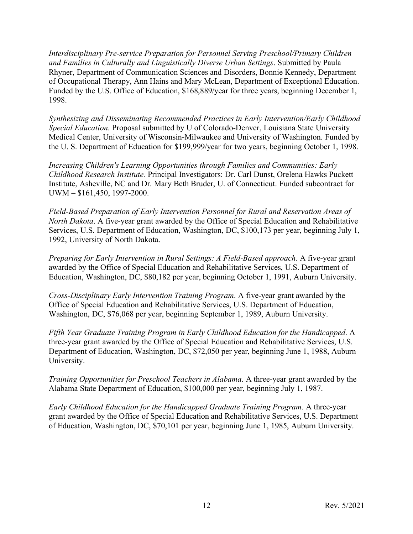*Interdisciplinary Pre-service Preparation for Personnel Serving Preschool/Primary Children and Families in Culturally and Linguistically Diverse Urban Settings*. Submitted by Paula Rhyner, Department of Communication Sciences and Disorders, Bonnie Kennedy, Department of Occupational Therapy, Ann Hains and Mary McLean, Department of Exceptional Education. Funded by the U.S. Office of Education, \$168,889/year for three years, beginning December 1, 1998.

*Synthesizing and Disseminating Recommended Practices in Early Intervention/Early Childhood Special Education.* Proposal submitted by U of Colorado-Denver, Louisiana State University Medical Center, University of Wisconsin-Milwaukee and University of Washington. Funded by the U. S. Department of Education for \$199,999/year for two years, beginning October 1, 1998.

*Increasing Children's Learning Opportunities through Families and Communities: Early Childhood Research Institute.* Principal Investigators: Dr. Carl Dunst, Orelena Hawks Puckett Institute, Asheville, NC and Dr. Mary Beth Bruder, U. of Connecticut. Funded subcontract for UWM – \$161,450, 1997-2000.

*Field-Based Preparation of Early Intervention Personnel for Rural and Reservation Areas of North Dakota*. A five-year grant awarded by the Office of Special Education and Rehabilitative Services, U.S. Department of Education, Washington, DC, \$100,173 per year, beginning July 1, 1992, University of North Dakota.

*Preparing for Early Intervention in Rural Settings: A Field-Based approach*. A five-year grant awarded by the Office of Special Education and Rehabilitative Services, U.S. Department of Education, Washington, DC, \$80,182 per year, beginning October 1, 1991, Auburn University.

*Cross-Disciplinary Early Intervention Training Program*. A five-year grant awarded by the Office of Special Education and Rehabilitative Services, U.S. Department of Education, Washington, DC, \$76,068 per year, beginning September 1, 1989, Auburn University.

*Fifth Year Graduate Training Program in Early Childhood Education for the Handicapped*. A three-year grant awarded by the Office of Special Education and Rehabilitative Services, U.S. Department of Education, Washington, DC, \$72,050 per year, beginning June 1, 1988, Auburn University.

*Training Opportunities for Preschool Teachers in Alabama*. A three-year grant awarded by the Alabama State Department of Education, \$100,000 per year, beginning July 1, 1987.

*Early Childhood Education for the Handicapped Graduate Training Program*. A three-year grant awarded by the Office of Special Education and Rehabilitative Services, U.S. Department of Education, Washington, DC, \$70,101 per year, beginning June 1, 1985, Auburn University.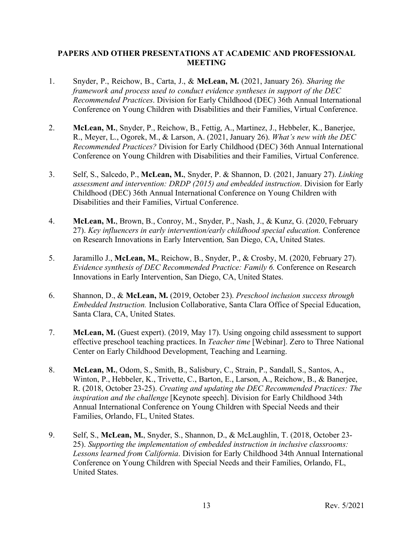## **PAPERS AND OTHER PRESENTATIONS AT ACADEMIC AND PROFESSIONAL MEETING**

- 1. Snyder, P., Reichow, B., Carta, J., & **McLean, M.** (2021, January 26). *Sharing the framework and process used to conduct evidence syntheses in support of the DEC Recommended Practices*. Division for Early Childhood (DEC) 36th Annual International Conference on Young Children with Disabilities and their Families, Virtual Conference.
- 2. **McLean, M.**, Snyder, P., Reichow, B., Fettig, A., Martinez, J., Hebbeler, K., Banerjee, R., Meyer, L., Ogorek, M., & Larson, A. (2021, January 26). *What's new with the DEC Recommended Practices?* Division for Early Childhood (DEC) 36th Annual International Conference on Young Children with Disabilities and their Families, Virtual Conference.
- 3. Self, S., Salcedo, P., **McLean, M.**, Snyder, P. & Shannon, D. (2021, January 27). *Linking assessment and intervention: DRDP (2015) and embedded instruction*. Division for Early Childhood (DEC) 36th Annual International Conference on Young Children with Disabilities and their Families, Virtual Conference.
- 4. **McLean, M.**, Brown, B., Conroy, M., Snyder, P., Nash, J., & Kunz, G. (2020, February 27). *Key influencers in early intervention/early childhood special education.* Conference on Research Innovations in Early Intervention*,* San Diego, CA, United States.
- 5. Jaramillo J., **McLean, M.**, Reichow, B., Snyder, P., & Crosby, M. (2020, February 27). *Evidence synthesis of DEC Recommended Practice: Family 6.* Conference on Research Innovations in Early Intervention, San Diego, CA, United States.
- 6. Shannon, D., & **McLean, M.** (2019, October 23). *Preschool inclusion success through Embedded Instruction.* Inclusion Collaborative, Santa Clara Office of Special Education, Santa Clara, CA, United States.
- 7. **McLean, M.** (Guest expert). (2019, May 17). Using ongoing child assessment to support effective preschool teaching practices. In *Teacher time* [Webinar]. Zero to Three National Center on Early Childhood Development, Teaching and Learning.
- 8. **McLean, M.**, Odom, S., Smith, B., Salisbury, C., Strain, P., Sandall, S., Santos, A., Winton, P., Hebbeler, K., Trivette, C., Barton, E., Larson, A., Reichow, B., & Banerjee, R. (2018, October 23-25). *Creating and updating the DEC Recommended Practices: The inspiration and the challenge* [Keynote speech]. Division for Early Childhood 34th Annual International Conference on Young Children with Special Needs and their Families, Orlando, FL, United States.
- 9. Self, S., **McLean, M.**, Snyder, S., Shannon, D., & McLaughlin, T. (2018, October 23- 25). *Supporting the implementation of embedded instruction in inclusive classrooms: Lessons learned from California*. Division for Early Childhood 34th Annual International Conference on Young Children with Special Needs and their Families, Orlando, FL, United States.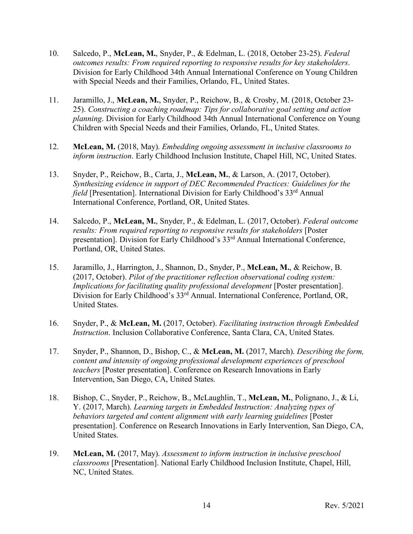- 10. Salcedo, P., **McLean, M.**, Snyder, P., & Edelman, L. (2018, October 23-25). *Federal outcomes results: From required reporting to responsive results for key stakeholders*. Division for Early Childhood 34th Annual International Conference on Young Children with Special Needs and their Families, Orlando, FL, United States.
- 11. Jaramillo, J., **McLean, M.**, Snyder, P., Reichow, B., & Crosby, M. (2018, October 23- 25). *Constructing a coaching roadmap: Tips for collaborative goal setting and action planning*. Division for Early Childhood 34th Annual International Conference on Young Children with Special Needs and their Families, Orlando, FL, United States.
- 12. **McLean, M.** (2018, May). *Embedding ongoing assessment in inclusive classrooms to inform instruction*. Early Childhood Inclusion Institute, Chapel Hill, NC, United States.
- 13. Snyder, P., Reichow, B., Carta, J., **McLean, M.**, & Larson, A. (2017, October). *Synthesizing evidence in support of DEC Recommended Practices: Guidelines for the field* [Presentation]. International Division for Early Childhood's 33<sup>rd</sup> Annual International Conference, Portland, OR, United States.
- 14. Salcedo, P., **McLean, M.**, Snyder, P., & Edelman, L. (2017, October). *Federal outcome results: From required reporting to responsive results for stakeholders* [Poster presentation]. Division for Early Childhood's 33rd Annual International Conference, Portland, OR, United States.
- 15. Jaramillo, J., Harrington, J., Shannon, D., Snyder, P., **McLean, M.**, & Reichow, B. (2017, October). *Pilot of the practitioner reflection observational coding system: Implications for facilitating quality professional development* [Poster presentation]. Division for Early Childhood's 33<sup>rd</sup> Annual. International Conference, Portland, OR, United States.
- 16. Snyder, P., & **McLean, M.** (2017, October). *Facilitating instruction through Embedded Instruction*. Inclusion Collaborative Conference, Santa Clara, CA, United States.
- 17. Snyder, P., Shannon, D., Bishop, C., & **McLean, M.** (2017, March). *Describing the form, content and intensity of ongoing professional development experiences of preschool teachers* [Poster presentation]. Conference on Research Innovations in Early Intervention, San Diego, CA, United States.
- 18. Bishop, C., Snyder, P., Reichow, B., McLaughlin, T., **McLean, M.**, Polignano, J., & Li, Y. (2017, March). *Learning targets in Embedded Instruction: Analyzing types of behaviors targeted and content alignment with early learning guidelines* [Poster presentation]. Conference on Research Innovations in Early Intervention, San Diego, CA, United States.
- 19. **McLean, M.** (2017, May). *Assessment to inform instruction in inclusive preschool classrooms* [Presentation]. National Early Childhood Inclusion Institute, Chapel, Hill, NC, United States.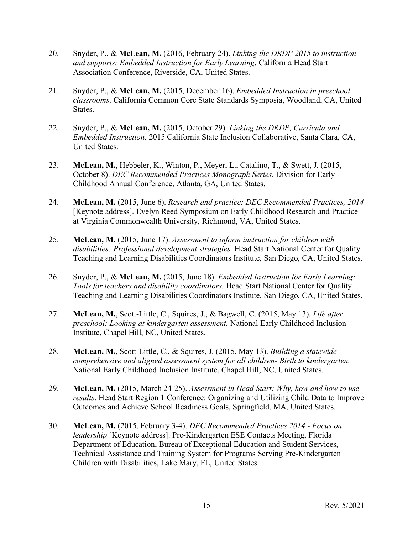- 20. Snyder, P., & **McLean, M.** (2016, February 24). *Linking the DRDP 2015 to instruction and supports: Embedded Instruction for Early Learning*. California Head Start Association Conference, Riverside, CA, United States.
- 21. Snyder, P., & **McLean, M.** (2015, December 16). *Embedded Instruction in preschool classrooms*. California Common Core State Standards Symposia, Woodland, CA, United States.
- 22. Snyder, P., & **McLean, M.** (2015, October 29). *Linking the DRDP, Curricula and Embedded Instruction.* 2015 California State Inclusion Collaborative, Santa Clara, CA, United States.
- 23. **McLean, M.**, Hebbeler, K., Winton, P., Meyer, L., Catalino, T., & Swett, J. (2015, October 8). *DEC Recommended Practices Monograph Series.* Division for Early Childhood Annual Conference, Atlanta, GA, United States.
- 24. **McLean, M.** (2015, June 6). *Research and practice: DEC Recommended Practices, 2014* [Keynote address]. Evelyn Reed Symposium on Early Childhood Research and Practice at Virginia Commonwealth University, Richmond, VA, United States.
- 25. **McLean, M.** (2015, June 17). *Assessment to inform instruction for children with disabilities: Professional development strategies.* Head Start National Center for Quality Teaching and Learning Disabilities Coordinators Institute, San Diego, CA, United States.
- 26. Snyder, P., & **McLean, M.** (2015, June 18). *Embedded Instruction for Early Learning: Tools for teachers and disability coordinators.* Head Start National Center for Quality Teaching and Learning Disabilities Coordinators Institute, San Diego, CA, United States.
- 27. **McLean, M.**, Scott-Little, C., Squires, J., & Bagwell, C. (2015, May 13). *Life after preschool: Looking at kindergarten assessment.* National Early Childhood Inclusion Institute, Chapel Hill, NC, United States.
- 28. **McLean, M.**, Scott-Little, C., & Squires, J. (2015, May 13). *Building a statewide comprehensive and aligned assessment system for all children- Birth to kindergarten.* National Early Childhood Inclusion Institute, Chapel Hill, NC, United States.
- 29. **McLean, M.** (2015, March 24-25). *Assessment in Head Start: Why, how and how to use results*. Head Start Region 1 Conference: Organizing and Utilizing Child Data to Improve Outcomes and Achieve School Readiness Goals, Springfield, MA, United States.
- 30. **McLean, M.** (2015, February 3-4). *DEC Recommended Practices 2014 - Focus on leadership* [Keynote address]. Pre-Kindergarten ESE Contacts Meeting, Florida Department of Education, Bureau of Exceptional Education and Student Services, Technical Assistance and Training System for Programs Serving Pre-Kindergarten Children with Disabilities, Lake Mary, FL, United States.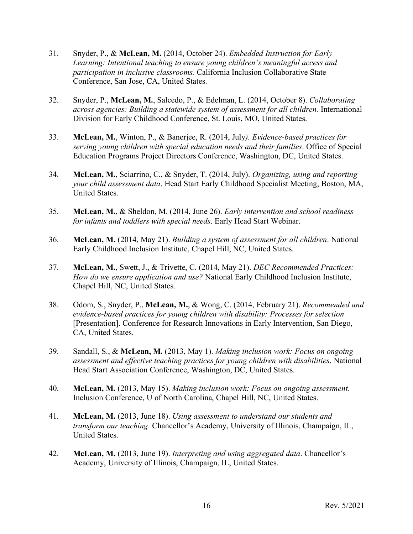- 31. Snyder, P., & **McLean, M.** (2014, October 24). *Embedded Instruction for Early Learning: Intentional teaching to ensure young children's meaningful access and participation in inclusive classrooms.* California Inclusion Collaborative State Conference, San Jose, CA, United States.
- 32. Snyder, P., **McLean, M.**, Salcedo, P., & Edelman, L. (2014, October 8). *Collaborating across agencies: Building a statewide system of assessment for all children.* International Division for Early Childhood Conference, St. Louis, MO, United States.
- 33. **McLean, M.**, Winton, P., & Banerjee, R. (2014, July*). Evidence-based practices for serving young children with special education needs and their families*. Office of Special Education Programs Project Directors Conference, Washington, DC, United States.
- 34. **McLean, M.**, Sciarrino, C., & Snyder, T. (2014, July). *Organizing, using and reporting your child assessment data*. Head Start Early Childhood Specialist Meeting, Boston, MA, United States.
- 35. **McLean, M.**, & Sheldon, M. (2014, June 26). *Early intervention and school readiness for infants and toddlers with special needs*. Early Head Start Webinar.
- 36. **McLean, M.** (2014, May 21). *Building a system of assessment for all children*. National Early Childhood Inclusion Institute, Chapel Hill, NC, United States.
- 37. **McLean, M.**, Swett, J., & Trivette, C. (2014, May 21). *DEC Recommended Practices: How do we ensure application and use?* National Early Childhood Inclusion Institute, Chapel Hill, NC, United States.
- 38. Odom, S., Snyder, P., **McLean, M.**, & Wong, C. (2014, February 21). *Recommended and evidence-based practices for young children with disability: Processes for selection* [Presentation]. Conference for Research Innovations in Early Intervention, San Diego, CA, United States.
- 39. Sandall, S., & **McLean, M.** (2013, May 1). *Making inclusion work: Focus on ongoing assessment and effective teaching practices for young children with disabilities*. National Head Start Association Conference, Washington, DC, United States.
- 40. **McLean, M.** (2013, May 15). *Making inclusion work: Focus on ongoing assessment*. Inclusion Conference, U of North Carolina, Chapel Hill, NC, United States.
- 41. **McLean, M.** (2013, June 18). *Using assessment to understand our students and transform our teaching*. Chancellor's Academy, University of Illinois, Champaign, IL, United States.
- 42. **McLean, M.** (2013, June 19). *Interpreting and using aggregated data*. Chancellor's Academy, University of Illinois, Champaign, IL, United States.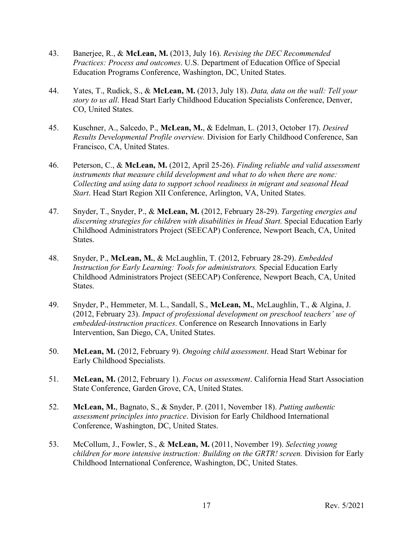- 43. Banerjee, R., & **McLean, M.** (2013, July 16). *Revising the DEC Recommended Practices: Process and outcomes*. U.S. Department of Education Office of Special Education Programs Conference, Washington, DC, United States.
- 44. Yates, T., Rudick, S., & **McLean, M.** (2013, July 18). *Data, data on the wall: Tell your story to us all*. Head Start Early Childhood Education Specialists Conference, Denver, CO, United States.
- 45. Kuschner, A., Salcedo, P., **McLean, M.**, & Edelman, L. (2013, October 17). *Desired Results Developmental Profile overview.* Division for Early Childhood Conference, San Francisco, CA, United States.
- 46. Peterson, C., & **McLean, M.** (2012, April 25-26). *Finding reliable and valid assessment instruments that measure child development and what to do when there are none: Collecting and using data to support school readiness in migrant and seasonal Head Start*. Head Start Region XII Conference, Arlington, VA, United States.
- 47. Snyder, T., Snyder, P., & **McLean, M.** (2012, February 28-29). *Targeting energies and discerning strategies for children with disabilities in Head Start.* Special Education Early Childhood Administrators Project (SEECAP) Conference, Newport Beach, CA, United States.
- 48. Snyder, P., **McLean, M.**, & McLaughlin, T. (2012, February 28-29). *Embedded Instruction for Early Learning: Tools for administrators.* Special Education Early Childhood Administrators Project (SEECAP) Conference, Newport Beach, CA, United States.
- 49. Snyder, P., Hemmeter, M. L., Sandall, S., **McLean, M.**, McLaughlin, T., & Algina, J. (2012, February 23). *Impact of professional development on preschool teachers' use of embedded-instruction practices*. Conference on Research Innovations in Early Intervention, San Diego, CA, United States.
- 50. **McLean, M.** (2012, February 9). *Ongoing child assessment*. Head Start Webinar for Early Childhood Specialists.
- 51. **McLean, M.** (2012, February 1). *Focus on assessment*. California Head Start Association State Conference, Garden Grove, CA, United States.
- 52. **McLean, M.**, Bagnato, S., & Snyder, P. (2011, November 18). *Putting authentic assessment principles into practice*. Division for Early Childhood International Conference, Washington, DC, United States.
- 53. McCollum, J., Fowler, S., & **McLean, M.** (2011, November 19). *Selecting young children for more intensive instruction: Building on the GRTR! screen.* Division for Early Childhood International Conference, Washington, DC, United States.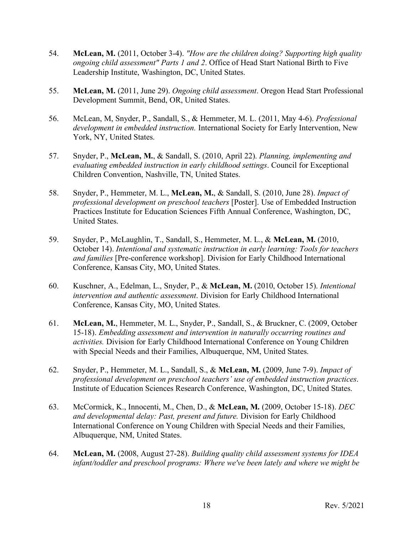- 54. **McLean, M.** (2011, October 3-4). *"How are the children doing? Supporting high quality ongoing child assessment" Parts 1 and 2*. Office of Head Start National Birth to Five Leadership Institute, Washington, DC, United States.
- 55. **McLean, M.** (2011, June 29). *Ongoing child assessment*. Oregon Head Start Professional Development Summit, Bend, OR, United States.
- 56. McLean, M, Snyder, P., Sandall, S., & Hemmeter, M. L. (2011, May 4-6). *Professional development in embedded instruction.* International Society for Early Intervention, New York, NY, United States.
- 57. Snyder, P., **McLean, M.**, & Sandall, S. (2010, April 22). *Planning, implementing and evaluating embedded instruction in early childhood settings*. Council for Exceptional Children Convention, Nashville, TN, United States.
- 58. Snyder, P., Hemmeter, M. L., **McLean, M.**, & Sandall, S. (2010, June 28). *Impact of professional development on preschool teachers* [Poster]. Use of Embedded Instruction Practices Institute for Education Sciences Fifth Annual Conference, Washington, DC, United States.
- 59. Snyder, P., McLaughlin, T., Sandall, S., Hemmeter, M. L., & **McLean, M.** (2010, October 14). *Intentional and systematic instruction in early learning: Tools for teachers and families* [Pre-conference workshop]. Division for Early Childhood International Conference, Kansas City, MO, United States.
- 60. Kuschner, A., Edelman, L., Snyder, P., & **McLean, M.** (2010, October 15). *Intentional intervention and authentic assessment*. Division for Early Childhood International Conference, Kansas City, MO, United States.
- 61. **McLean, M.**, Hemmeter, M. L., Snyder, P., Sandall, S., & Bruckner, C. (2009, October 15-18). *Embedding assessment and intervention in naturally occurring routines and activities.* Division for Early Childhood International Conference on Young Children with Special Needs and their Families, Albuquerque, NM, United States.
- 62. Snyder, P., Hemmeter, M. L., Sandall, S., & **McLean, M.** (2009, June 7-9). *Impact of professional development on preschool teachers' use of embedded instruction practices*. Institute of Education Sciences Research Conference, Washington, DC, United States.
- 63. McCormick, K., Innocenti, M., Chen, D., & **McLean, M.** (2009, October 15-18). *DEC and developmental delay: Past, present and future.* Division for Early Childhood International Conference on Young Children with Special Needs and their Families, Albuquerque, NM, United States.
- 64. **McLean, M.** (2008, August 27-28). *Building quality child assessment systems for IDEA infant/toddler and preschool programs: Where we've been lately and where we might be*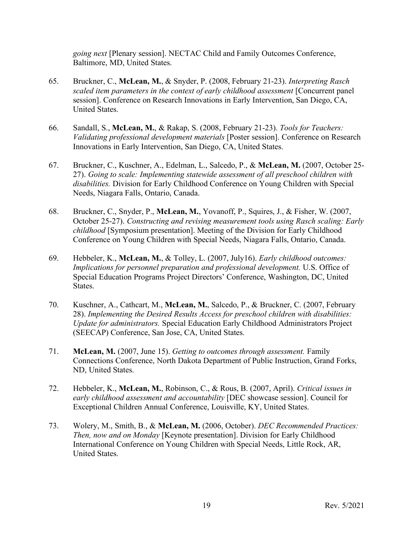*going next* [Plenary session]. NECTAC Child and Family Outcomes Conference, Baltimore, MD, United States.

- 65. Bruckner, C., **McLean, M.**, & Snyder, P. (2008, February 21-23). *Interpreting Rasch scaled item parameters in the context of early childhood assessment* [Concurrent panel session]. Conference on Research Innovations in Early Intervention, San Diego, CA, United States.
- 66. Sandall, S., **McLean, M.**, & Rakap, S. (2008, February 21-23). *Tools for Teachers: Validating professional development materials* [Poster session]. Conference on Research Innovations in Early Intervention, San Diego, CA, United States.
- 67. Bruckner, C., Kuschner, A., Edelman, L., Salcedo, P., & **McLean, M.** (2007, October 25- 27). *Going to scale: Implementing statewide assessment of all preschool children with disabilities.* Division for Early Childhood Conference on Young Children with Special Needs, Niagara Falls, Ontario, Canada.
- 68. Bruckner, C., Snyder, P., **McLean, M.**, Yovanoff, P., Squires, J., & Fisher, W. (2007, October 25-27). *Constructing and revising measurement tools using Rasch scaling: Early childhood* [Symposium presentation]. Meeting of the Division for Early Childhood Conference on Young Children with Special Needs, Niagara Falls, Ontario, Canada.
- 69. Hebbeler, K., **McLean, M.**, & Tolley, L. (2007, July16). *Early childhood outcomes: Implications for personnel preparation and professional development.* U.S. Office of Special Education Programs Project Directors' Conference, Washington, DC, United States.
- 70. Kuschner, A., Cathcart, M., **McLean, M.**, Salcedo, P., & Bruckner, C. (2007, February 28). *Implementing the Desired Results Access for preschool children with disabilities: Update for administrators.* Special Education Early Childhood Administrators Project (SEECAP) Conference, San Jose, CA, United States.
- 71. **McLean, M.** (2007, June 15). *Getting to outcomes through assessment.* Family Connections Conference, North Dakota Department of Public Instruction, Grand Forks, ND, United States.
- 72. Hebbeler, K., **McLean, M.**, Robinson, C., & Rous, B. (2007, April). *Critical issues in early childhood assessment and accountability* [DEC showcase session]. Council for Exceptional Children Annual Conference, Louisville, KY, United States.
- 73. Wolery, M., Smith, B., & **McLean, M.** (2006, October). *DEC Recommended Practices: Then, now and on Monday* [Keynote presentation]. Division for Early Childhood International Conference on Young Children with Special Needs, Little Rock, AR, United States.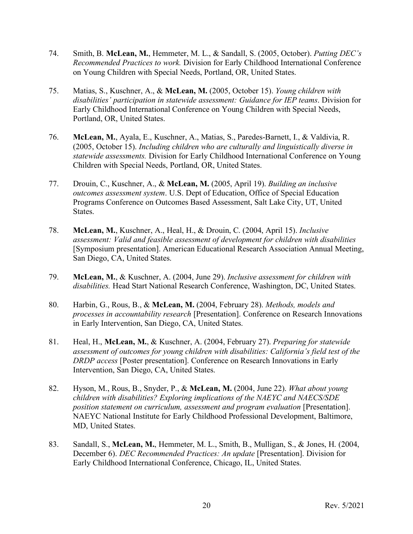- 74. Smith, B. **McLean, M.**, Hemmeter, M. L., & Sandall, S. (2005, October). *Putting DEC's Recommended Practices to work.* Division for Early Childhood International Conference on Young Children with Special Needs, Portland, OR, United States.
- 75. Matias, S., Kuschner, A., & **McLean, M.** (2005, October 15). *Young children with disabilities' participation in statewide assessment: Guidance for IEP teams*. Division for Early Childhood International Conference on Young Children with Special Needs, Portland, OR, United States.
- 76. **McLean, M.**, Ayala, E., Kuschner, A., Matias, S., Paredes-Barnett, I., & Valdivia, R. (2005, October 15). *Including children who are culturally and linguistically diverse in statewide assessments.* Division for Early Childhood International Conference on Young Children with Special Needs, Portland, OR, United States.
- 77. Drouin, C., Kuschner, A., & **McLean, M.** (2005, April 19). *Building an inclusive outcomes assessment system*. U.S. Dept of Education, Office of Special Education Programs Conference on Outcomes Based Assessment, Salt Lake City, UT, United States.
- 78. **McLean, M.**, Kuschner, A., Heal, H., & Drouin, C. (2004, April 15). *Inclusive assessment: Valid and feasible assessment of development for children with disabilities* [Symposium presentation]. American Educational Research Association Annual Meeting, San Diego, CA, United States.
- 79. **McLean, M.**, & Kuschner, A. (2004, June 29). *Inclusive assessment for children with disabilities.* Head Start National Research Conference, Washington, DC, United States.
- 80. Harbin, G., Rous, B., & **McLean, M.** (2004, February 28). *Methods, models and processes in accountability research* [Presentation]. Conference on Research Innovations in Early Intervention, San Diego, CA, United States.
- 81. Heal, H., **McLean, M.**, & Kuschner, A. (2004, February 27). *Preparing for statewide assessment of outcomes for young children with disabilities: California's field test of the DRDP access* [Poster presentation]. Conference on Research Innovations in Early Intervention, San Diego, CA, United States.
- 82. Hyson, M., Rous, B., Snyder, P., & **McLean, M.** (2004, June 22). *What about young children with disabilities? Exploring implications of the NAEYC and NAECS/SDE position statement on curriculum, assessment and program evaluation* [Presentation]. NAEYC National Institute for Early Childhood Professional Development, Baltimore, MD, United States.
- 83. Sandall, S., **McLean, M.**, Hemmeter, M. L., Smith, B., Mulligan, S., & Jones, H. (2004, December 6). *DEC Recommended Practices: An update* [Presentation]. Division for Early Childhood International Conference, Chicago, IL, United States.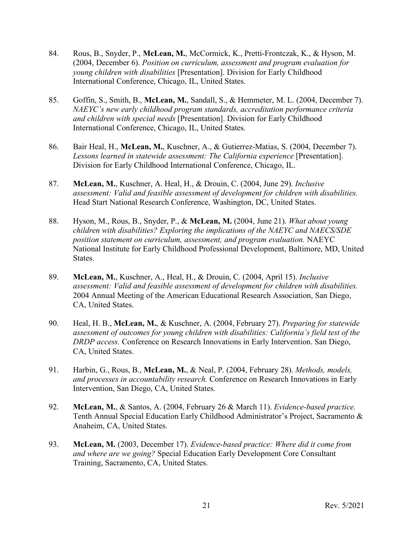- 84. Rous, B., Snyder, P., **McLean, M.**, McCormick, K., Pretti-Frontczak, K., & Hyson, M. (2004, December 6). *Position on curriculum, assessment and program evaluation for young children with disabilities* [Presentation]. Division for Early Childhood International Conference, Chicago, IL, United States.
- 85. Goffin, S., Smith, B., **McLean, M.**, Sandall, S., & Hemmeter, M. L. (2004, December 7). *NAEYC's new early childhood program standards, accreditation performance criteria and children with special needs* [Presentation]. Division for Early Childhood International Conference, Chicago, IL, United States.
- 86. Bair Heal, H., **McLean, M.**, Kuschner, A., & Gutierrez-Matias, S. (2004, December 7). *Lessons learned in statewide assessment: The California experience* [Presentation]. Division for Early Childhood International Conference, Chicago, IL.
- 87. **McLean, M.**, Kuschner, A. Heal, H., & Drouin, C. (2004, June 29). *Inclusive assessment: Valid and feasible assessment of development for children with disabilities.* Head Start National Research Conference, Washington, DC, United States.
- 88. Hyson, M., Rous, B., Snyder, P., & **McLean, M.** (2004, June 21). *What about young children with disabilities? Exploring the implications of the NAEYC and NAECS/SDE position statement on curriculum, assessment, and program evaluation.* NAEYC National Institute for Early Childhood Professional Development, Baltimore, MD, United States.
- 89. **McLean, M.**, Kuschner, A., Heal, H., & Drouin, C. (2004, April 15). *Inclusive assessment: Valid and feasible assessment of development for children with disabilities.* 2004 Annual Meeting of the American Educational Research Association, San Diego, CA, United States.
- 90. Heal, H. B., **McLean, M.**, & Kuschner, A. (2004, February 27). *Preparing for statewide assessment of outcomes for young children with disabilities: California's field test of the DRDP access.* Conference on Research Innovations in Early Intervention. San Diego, CA, United States.
- 91. Harbin, G., Rous, B., **McLean, M.**, & Neal, P. (2004, February 28). *Methods, models, and processes in accountability research.* Conference on Research Innovations in Early Intervention, San Diego, CA, United States.
- 92. **McLean, M.**, & Santos, A. (2004, February 26 & March 11). *Evidence-based practice.* Tenth Annual Special Education Early Childhood Administrator's Project, Sacramento & Anaheim, CA, United States.
- 93. **McLean, M.** (2003, December 17). *Evidence-based practice: Where did it come from and where are we going?* Special Education Early Development Core Consultant Training, Sacramento, CA, United States.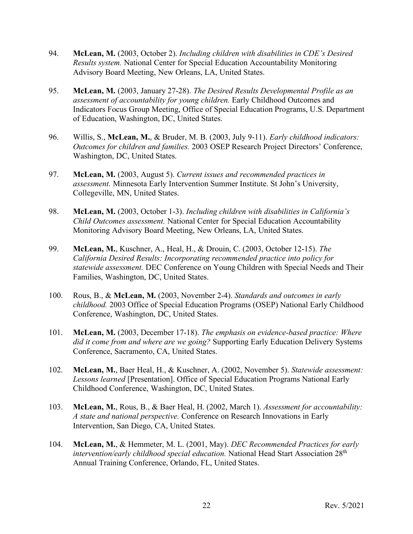- 94. **McLean, M.** (2003, October 2). *Including children with disabilities in CDE's Desired Results system.* National Center for Special Education Accountability Monitoring Advisory Board Meeting, New Orleans, LA, United States.
- 95. **McLean, M.** (2003, January 27-28). *The Desired Results Developmental Profile as an assessment of accountability for young children.* Early Childhood Outcomes and Indicators Focus Group Meeting, Office of Special Education Programs, U.S. Department of Education, Washington, DC, United States.
- 96. Willis, S., **McLean, M.**, & Bruder, M. B. (2003, July 9-11). *Early childhood indicators: Outcomes for children and families.* 2003 OSEP Research Project Directors' Conference, Washington, DC, United States.
- 97. **McLean, M.** (2003, August 5). *Current issues and recommended practices in assessment.* Minnesota Early Intervention Summer Institute. St John's University, Collegeville, MN, United States.
- 98. **McLean, M.** (2003, October 1-3). *Including children with disabilities in California's Child Outcomes assessment.* National Center for Special Education Accountability Monitoring Advisory Board Meeting, New Orleans, LA, United States.
- 99. **McLean, M.**, Kuschner, A., Heal, H., & Drouin, C. (2003, October 12-15). *The California Desired Results: Incorporating recommended practice into policy for statewide assessment.* DEC Conference on Young Children with Special Needs and Their Families, Washington, DC, United States.
- 100. Rous, B., & **McLean, M.** (2003, November 2-4). *Standards and outcomes in early childhood.* 2003 Office of Special Education Programs (OSEP) National Early Childhood Conference, Washington, DC, United States.
- 101. **McLean, M.** (2003, December 17-18). *The emphasis on evidence-based practice: Where did it come from and where are we going?* Supporting Early Education Delivery Systems Conference, Sacramento, CA, United States.
- 102. **McLean, M.**, Baer Heal, H., & Kuschner, A. (2002, November 5). *Statewide assessment: Lessons learned* [Presentation]. Office of Special Education Programs National Early Childhood Conference, Washington, DC, United States.
- 103. **McLean, M.**, Rous, B., & Baer Heal, H. (2002, March 1). *Assessment for accountability: A state and national perspective.* Conference on Research Innovations in Early Intervention, San Diego, CA, United States.
- 104. **McLean, M.**, & Hemmeter, M. L. (2001, May). *DEC Recommended Practices for early intervention/early childhood special education.* National Head Start Association 28th Annual Training Conference, Orlando, FL, United States.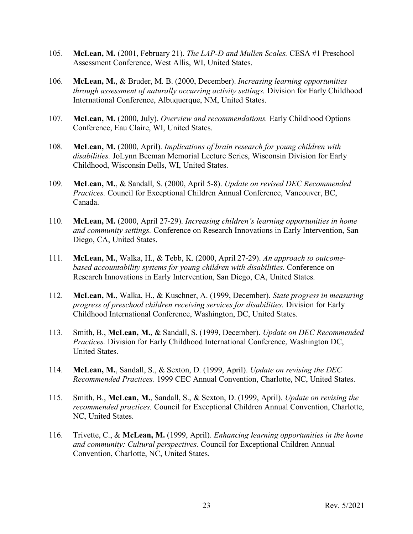- 105. **McLean, M.** (2001, February 21). *The LAP-D and Mullen Scales.* CESA #1 Preschool Assessment Conference, West Allis, WI, United States.
- 106. **McLean, M.**, & Bruder, M. B. (2000, December). *Increasing learning opportunities through assessment of naturally occurring activity settings.* Division for Early Childhood International Conference, Albuquerque, NM, United States.
- 107. **McLean, M.** (2000, July). *Overview and recommendations.* Early Childhood Options Conference, Eau Claire, WI, United States.
- 108. **McLean, M.** (2000, April). *Implications of brain research for young children with disabilities.* JoLynn Beeman Memorial Lecture Series, Wisconsin Division for Early Childhood, Wisconsin Dells, WI, United States.
- 109. **McLean, M.**, & Sandall, S. (2000, April 5-8). *Update on revised DEC Recommended Practices.* Council for Exceptional Children Annual Conference, Vancouver, BC, Canada.
- 110. **McLean, M.** (2000, April 27-29). *Increasing children's learning opportunities in home and community settings.* Conference on Research Innovations in Early Intervention, San Diego, CA, United States.
- 111. **McLean, M.**, Walka, H., & Tebb, K. (2000, April 27-29). *An approach to outcomebased accountability systems for young children with disabilities.* Conference on Research Innovations in Early Intervention, San Diego, CA, United States.
- 112. **McLean, M.**, Walka, H., & Kuschner, A. (1999, December). *State progress in measuring progress of preschool children receiving services for disabilities.* Division for Early Childhood International Conference, Washington, DC, United States.
- 113. Smith, B., **McLean, M.**, & Sandall, S. (1999, December). *Update on DEC Recommended Practices.* Division for Early Childhood International Conference, Washington DC, United States.
- 114. **McLean, M.**, Sandall, S., & Sexton, D. (1999, April). *Update on revising the DEC Recommended Practices.* 1999 CEC Annual Convention, Charlotte, NC, United States.
- 115. Smith, B., **McLean, M.**, Sandall, S., & Sexton, D. (1999, April). *Update on revising the recommended practices.* Council for Exceptional Children Annual Convention, Charlotte, NC, United States.
- 116. Trivette, C., & **McLean, M.** (1999, April). *Enhancing learning opportunities in the home and community: Cultural perspectives.* Council for Exceptional Children Annual Convention, Charlotte, NC, United States.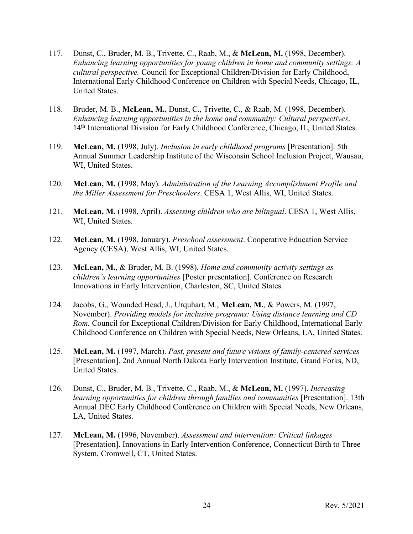- 117. Dunst, C., Bruder, M. B., Trivette, C., Raab, M., & **McLean, M.** (1998, December). *Enhancing learning opportunities for young children in home and community settings: A cultural perspective.* Council for Exceptional Children/Division for Early Childhood, International Early Childhood Conference on Children with Special Needs, Chicago, IL, United States.
- 118. Bruder, M. B., **McLean, M.**, Dunst, C., Trivette, C., & Raab, M. (1998, December). *Enhancing learning opportunities in the home and community: Cultural perspectives*. 14<sup>th</sup> International Division for Early Childhood Conference, Chicago, IL, United States.
- 119. **McLean, M.** (1998, July). *Inclusion in early childhood programs* [Presentation]. 5th Annual Summer Leadership Institute of the Wisconsin School Inclusion Project, Wausau, WI, United States.
- 120. **McLean, M.** (1998, May). *Administration of the Learning Accomplishment Profile and the Miller Assessment for Preschoolers*. CESA 1, West Allis, WI, United States.
- 121. **McLean, M.** (1998, April). *Assessing children who are bilingual*. CESA 1, West Allis, WI, United States.
- 122. **McLean, M.** (1998, January). *Preschool assessment*. Cooperative Education Service Agency (CESA), West Allis, WI, United States.
- 123. **McLean, M.**, & Bruder, M. B. (1998). *Home and community activity settings as children's learning opportunities* [Poster presentation]. Conference on Research Innovations in Early Intervention, Charleston, SC, United States.
- 124. Jacobs, G., Wounded Head, J., Urquhart, M., **McLean, M.**, & Powers, M. (1997, November). *Providing models for inclusive programs: Using distance learning and CD Rom.* Council for Exceptional Children/Division for Early Childhood, International Early Childhood Conference on Children with Special Needs, New Orleans, LA, United States.
- 125. **McLean, M.** (1997, March). *Past, present and future visions of family-centered services* [Presentation]. 2nd Annual North Dakota Early Intervention Institute, Grand Forks, ND, United States.
- 126. Dunst, C., Bruder, M. B., Trivette, C., Raab, M., & **McLean, M.** (1997). *Increasing learning opportunities for children through families and communities* [Presentation]. 13th Annual DEC Early Childhood Conference on Children with Special Needs, New Orleans, LA, United States.
- 127. **McLean, M.** (1996, November). *Assessment and intervention: Critical linkages* [Presentation]. Innovations in Early Intervention Conference, Connecticut Birth to Three System, Cromwell, CT, United States.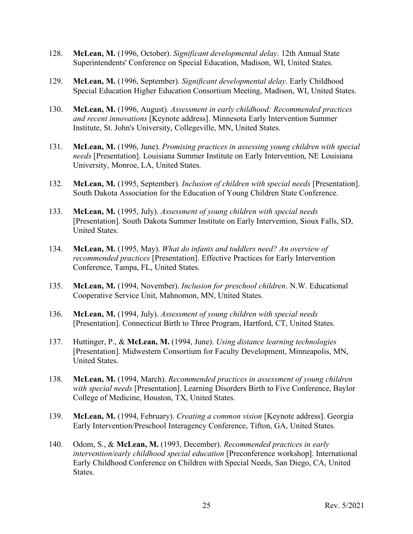- 128. **McLean, M.** (1996, October). *Significant developmental delay*. 12th Annual State Superintendents' Conference on Special Education, Madison, WI, United States.
- 129. **McLean, M.** (1996, September). *Significant developmental delay*. Early Childhood Special Education Higher Education Consortium Meeting, Madison, WI, United States.
- 130. **McLean, M.** (1996, August). *Assessment in early childhood: Recommended practices and recent innovations* [Keynote address]. Minnesota Early Intervention Summer Institute, St. John's University, Collegeville, MN, United States.
- 131. **McLean, M.** (1996, June). *Promising practices in assessing young children with special needs* [Presentation]. Louisiana Summer Institute on Early Intervention, NE Louisiana University, Monroe, LA, United States.
- 132. **McLean, M.** (1995, September). *Inclusion of children with special needs* [Presentation]. South Dakota Association for the Education of Young Children State Conference.
- 133. **McLean, M.** (1995, July). *Assessment of young children with special needs* [Presentation]. South Dakota Summer Institute on Early Intervention, Sioux Falls, SD, United States.
- 134. **McLean, M.** (1995, May). *What do infants and toddlers need? An overview of recommended practices* [Presentation]. Effective Practices for Early Intervention Conference, Tampa, FL, United States.
- 135. **McLean, M.** (1994, November). *Inclusion for preschool children*. N.W. Educational Cooperative Service Unit, Mahnomon, MN, United States.
- 136. **McLean, M.** (1994, July). *Assessment of young children with special needs* [Presentation]. Connecticut Birth to Three Program, Hartford, CT, United States.
- 137. Huttinger, P., & **McLean, M.** (1994, June). *Using distance learning technologies* [Presentation]. Midwestern Consortium for Faculty Development, Minneapolis, MN, United States.
- 138. **McLean, M.** (1994, March). *Recommended practices in assessment of young children with special needs* [Presentation]. Learning Disorders Birth to Five Conference, Baylor College of Medicine, Houston, TX, United States.
- 139. **McLean, M.** (1994, February). *Creating a common vision* [Keynote address]. Georgia Early Intervention/Preschool Interagency Conference, Tifton, GA, United States.
- 140. Odom, S., & **McLean, M.** (1993, December). *Recommended practices in early intervention/early childhood special education* [Preconference workshop]. International Early Childhood Conference on Children with Special Needs, San Diego, CA, United States.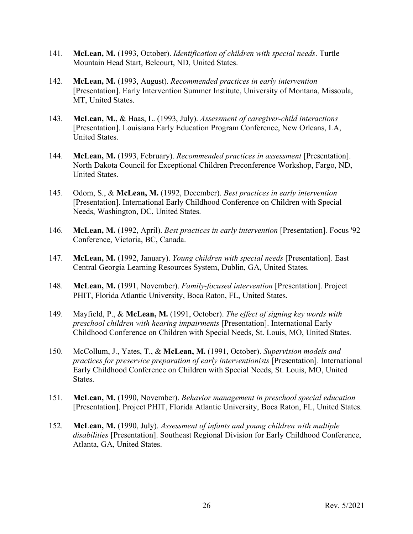- 141. **McLean, M.** (1993, October). *Identification of children with special needs*. Turtle Mountain Head Start, Belcourt, ND, United States.
- 142. **McLean, M.** (1993, August). *Recommended practices in early intervention* [Presentation]. Early Intervention Summer Institute, University of Montana, Missoula, MT, United States.
- 143. **McLean, M.**, & Haas, L. (1993, July). *Assessment of caregiver-child interactions* [Presentation]. Louisiana Early Education Program Conference, New Orleans, LA, United States.
- 144. **McLean, M.** (1993, February). *Recommended practices in assessment* [Presentation]. North Dakota Council for Exceptional Children Preconference Workshop, Fargo, ND, United States.
- 145. Odom, S., & **McLean, M.** (1992, December). *Best practices in early intervention* [Presentation]. International Early Childhood Conference on Children with Special Needs, Washington, DC, United States.
- 146. **McLean, M.** (1992, April). *Best practices in early intervention* [Presentation]. Focus '92 Conference, Victoria, BC, Canada.
- 147. **McLean, M.** (1992, January). *Young children with special needs* [Presentation]. East Central Georgia Learning Resources System, Dublin, GA, United States.
- 148. **McLean, M.** (1991, November). *Family-focused intervention* [Presentation]. Project PHIT, Florida Atlantic University, Boca Raton, FL, United States.
- 149. Mayfield, P., & **McLean, M.** (1991, October). *The effect of signing key words with preschool children with hearing impairments* [Presentation]. International Early Childhood Conference on Children with Special Needs, St. Louis, MO, United States.
- 150. McCollum, J., Yates, T., & **McLean, M.** (1991, October). *Supervision models and practices for preservice preparation of early interventionists* [Presentation]. International Early Childhood Conference on Children with Special Needs, St. Louis, MO, United States.
- 151. **McLean, M.** (1990, November). *Behavior management in preschool special education* [Presentation]. Project PHIT, Florida Atlantic University, Boca Raton, FL, United States.
- 152. **McLean, M.** (1990, July). *Assessment of infants and young children with multiple disabilities* [Presentation]. Southeast Regional Division for Early Childhood Conference, Atlanta, GA, United States.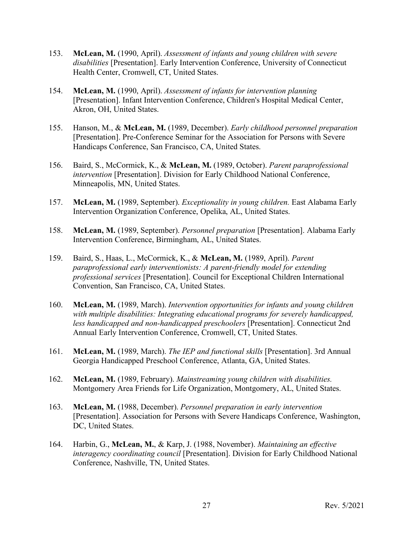- 153. **McLean, M.** (1990, April). *Assessment of infants and young children with severe disabilities* [Presentation]. Early Intervention Conference, University of Connecticut Health Center, Cromwell, CT, United States.
- 154. **McLean, M.** (1990, April). *Assessment of infants for intervention planning* [Presentation]. Infant Intervention Conference, Children's Hospital Medical Center, Akron, OH, United States.
- 155. Hanson, M., & **McLean, M.** (1989, December). *Early childhood personnel preparation* [Presentation]. Pre-Conference Seminar for the Association for Persons with Severe Handicaps Conference, San Francisco, CA, United States.
- 156. Baird, S., McCormick, K., & **McLean, M.** (1989, October). *Parent paraprofessional intervention* [Presentation]. Division for Early Childhood National Conference, Minneapolis, MN, United States.
- 157. **McLean, M.** (1989, September). *Exceptionality in young children.* East Alabama Early Intervention Organization Conference, Opelika, AL, United States.
- 158. **McLean, M.** (1989, September). *Personnel preparation* [Presentation]. Alabama Early Intervention Conference, Birmingham, AL, United States.
- 159. Baird, S., Haas, L., McCormick, K., & **McLean, M.** (1989, April). *Parent paraprofessional early interventionists: A parent-friendly model for extending professional services* [Presentation]. Council for Exceptional Children International Convention, San Francisco, CA, United States.
- 160. **McLean, M.** (1989, March). *Intervention opportunities for infants and young children with multiple disabilities: Integrating educational programs for severely handicapped, less handicapped and non-handicapped preschoolers* [Presentation]. Connecticut 2nd Annual Early Intervention Conference, Cromwell, CT, United States.
- 161. **McLean, M.** (1989, March). *The IEP and functional skills* [Presentation]. 3rd Annual Georgia Handicapped Preschool Conference, Atlanta, GA, United States.
- 162. **McLean, M.** (1989, February). *Mainstreaming young children with disabilities.* Montgomery Area Friends for Life Organization, Montgomery, AL, United States.
- 163. **McLean, M.** (1988, December). *Personnel preparation in early intervention* [Presentation]. Association for Persons with Severe Handicaps Conference, Washington, DC, United States.
- 164. Harbin, G., **McLean, M.**, & Karp, J. (1988, November). *Maintaining an effective interagency coordinating council* [Presentation]. Division for Early Childhood National Conference, Nashville, TN, United States.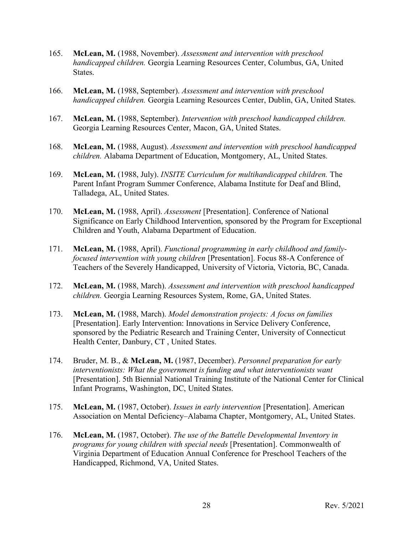- 165. **McLean, M.** (1988, November). *Assessment and intervention with preschool handicapped children.* Georgia Learning Resources Center, Columbus, GA, United States.
- 166. **McLean, M.** (1988, September). *Assessment and intervention with preschool handicapped children.* Georgia Learning Resources Center, Dublin, GA, United States.
- 167. **McLean, M.** (1988, September). *Intervention with preschool handicapped children.* Georgia Learning Resources Center, Macon, GA, United States.
- 168. **McLean, M.** (1988, August). *Assessment and intervention with preschool handicapped children.* Alabama Department of Education, Montgomery, AL, United States.
- 169. **McLean, M.** (1988, July). *INSITE Curriculum for multihandicapped children.* The Parent Infant Program Summer Conference, Alabama Institute for Deaf and Blind, Talladega, AL, United States.
- 170. **McLean, M.** (1988, April). *Assessment* [Presentation]. Conference of National Significance on Early Childhood Intervention, sponsored by the Program for Exceptional Children and Youth, Alabama Department of Education.
- 171. **McLean, M.** (1988, April). *Functional programming in early childhood and familyfocused intervention with young children* [Presentation]. Focus 88-A Conference of Teachers of the Severely Handicapped, University of Victoria, Victoria, BC, Canada.
- 172. **McLean, M.** (1988, March). *Assessment and intervention with preschool handicapped children.* Georgia Learning Resources System, Rome, GA, United States.
- 173. **McLean, M.** (1988, March). *Model demonstration projects: A focus on families* [Presentation]. Early Intervention: Innovations in Service Delivery Conference, sponsored by the Pediatric Research and Training Center, University of Connecticut Health Center, Danbury, CT , United States.
- 174. Bruder, M. B., & **McLean, M.** (1987, December). *Personnel preparation for early interventionists: What the government is funding and what interventionists want* [Presentation]. 5th Biennial National Training Institute of the National Center for Clinical Infant Programs, Washington, DC, United States.
- 175. **McLean, M.** (1987, October). *Issues in early intervention* [Presentation]. American Association on Mental Deficiency–Alabama Chapter, Montgomery, AL, United States.
- 176. **McLean, M.** (1987, October). *The use of the Battelle Developmental Inventory in programs for young children with special needs* [Presentation]. Commonwealth of Virginia Department of Education Annual Conference for Preschool Teachers of the Handicapped, Richmond, VA, United States.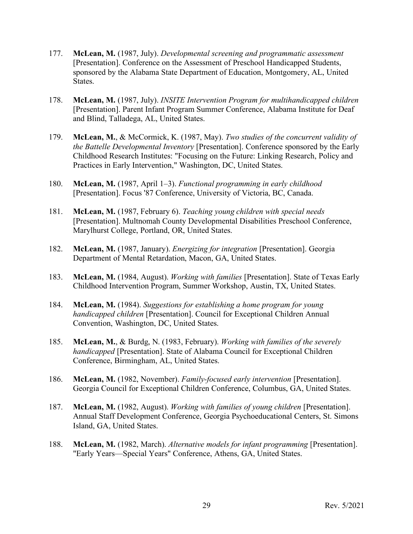- 177. **McLean, M.** (1987, July). *Developmental screening and programmatic assessment* [Presentation]. Conference on the Assessment of Preschool Handicapped Students, sponsored by the Alabama State Department of Education, Montgomery, AL, United States.
- 178. **McLean, M.** (1987, July). *INSITE Intervention Program for multihandicapped children* [Presentation]. Parent Infant Program Summer Conference, Alabama Institute for Deaf and Blind, Talladega, AL, United States.
- 179. **McLean, M.**, & McCormick, K. (1987, May). *Two studies of the concurrent validity of the Battelle Developmental Inventory* [Presentation]. Conference sponsored by the Early Childhood Research Institutes: "Focusing on the Future: Linking Research, Policy and Practices in Early Intervention," Washington, DC, United States.
- 180. **McLean, M.** (1987, April 1–3). *Functional programming in early childhood* [Presentation]. Focus '87 Conference, University of Victoria, BC, Canada.
- 181. **McLean, M.** (1987, February 6). *Teaching young children with special needs* [Presentation]. Multnomah County Developmental Disabilities Preschool Conference, Marylhurst College, Portland, OR, United States.
- 182. **McLean, M.** (1987, January). *Energizing for integration* [Presentation]. Georgia Department of Mental Retardation, Macon, GA, United States.
- 183. **McLean, M.** (1984, August). *Working with families* [Presentation]. State of Texas Early Childhood Intervention Program, Summer Workshop, Austin, TX, United States.
- 184. **McLean, M.** (1984). *Suggestions for establishing a home program for young handicapped children* [Presentation]. Council for Exceptional Children Annual Convention, Washington, DC, United States.
- 185. **McLean, M.**, & Burdg, N. (1983, February). *Working with families of the severely handicapped* [Presentation]. State of Alabama Council for Exceptional Children Conference, Birmingham, AL, United States.
- 186. **McLean, M.** (1982, November). *Family-focused early intervention* [Presentation]. Georgia Council for Exceptional Children Conference, Columbus, GA, United States.
- 187. **McLean, M.** (1982, August). *Working with families of young children* [Presentation]. Annual Staff Development Conference, Georgia Psychoeducational Centers, St. Simons Island, GA, United States.
- 188. **McLean, M.** (1982, March). *Alternative models for infant programming* [Presentation]. "Early Years—Special Years" Conference, Athens, GA, United States.